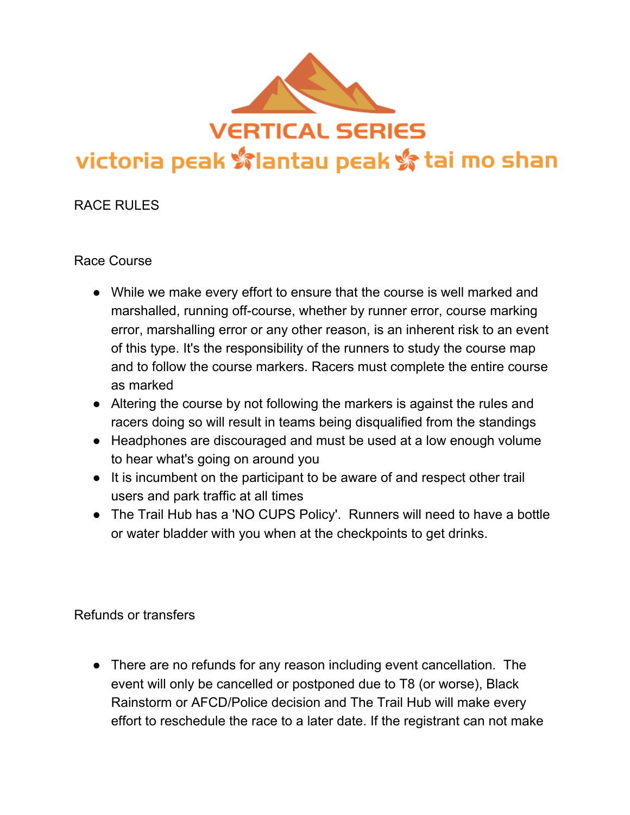

# RACE RULES

## Race Course

- While we make every effort to ensure that the course is well marked and marshalled, running off-course, whether by runner error, course marking error, marshalling error or any other reason, is an inherent risk to an event of this type. It's the responsibility of the runners to study the course map and to follow the course markers. Racers must complete the entire course as marked
- Altering the course by not following the markers is against the rules and racers doing so will result in teams being disqualified from the standings
- Headphones are discouraged and must be used at a low enough volume to hear what's going on around you
- It is incumbent on the participant to be aware of and respect other trail users and park traffic at all times
- The Trail Hub has a 'NO CUPS Policy'. Runners will need to have a bottle or water bladder with you when at the checkpoints to get drinks.

Refunds or transfers

• There are no refunds for any reason including event cancellation. The event will only be cancelled or postponed due to T8 (or worse), Black Rainstorm or AFCD/Police decision and The Trail Hub will make every effort to reschedule the race to a later date. If the registrant can not make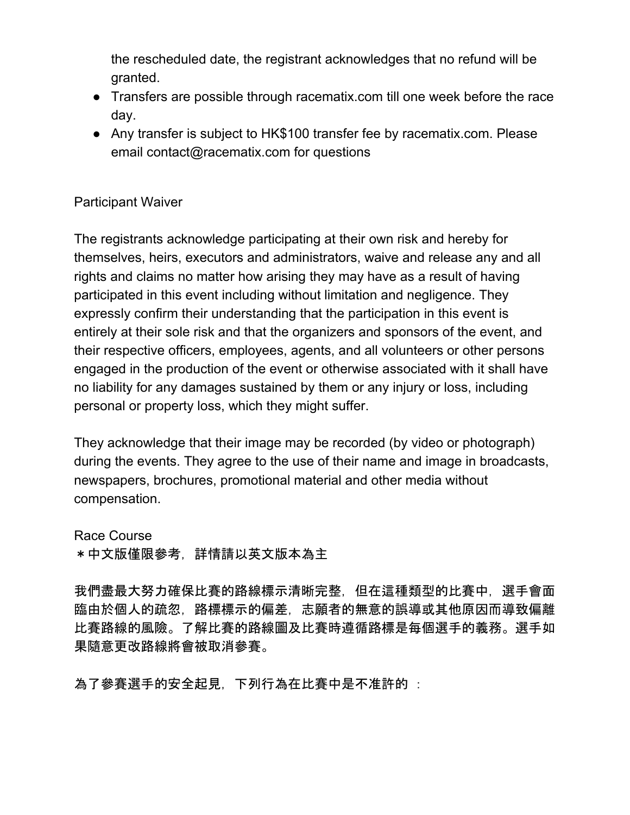the rescheduled date, the registrant acknowledges that no refund will be granted.

- Transfers are possible through racematix.com till one week before the race day.
- Any transfer is subject to HK\$100 transfer fee by racematix.com. Please email contact@racematix.com for questions

### Participant Waiver

The registrants acknowledge participating at their own risk and hereby for themselves, heirs, executors and administrators, waive and release any and all rights and claims no matter how arising they may have as a result of having participated in this event including without limitation and negligence. They expressly confirm their understanding that the participation in this event is entirely at their sole risk and that the organizers and sponsors of the event, and their respective officers, employees, agents, and all volunteers or other persons engaged in the production of the event or otherwise associated with it shall have no liability for any damages sustained by them or any injury or loss, including personal or property loss, which they might suffer.

They acknowledge that their image may be recorded (by video or photograph) during the events. They agree to the use of their name and image in broadcasts, newspapers, brochures, promotional material and other media without compensation.

Race Course \*中文版僅限參考,詳情請以英文版本為主

我們盡最大努力確保比賽的路線標示清晰完整,但在這種類型的比賽中,選手會面 臨由於個人的疏忽,路標標示的偏差,志願者的無意的誤導或其他原因而導致偏離 比賽路線的風險。了解比賽的路線圖及比賽時遵循路標是每個選手的義務。選手如 果隨意更改路線將會被取消參賽。

為了參賽選手的安全起見,下列行為在比賽中是不准許的 :